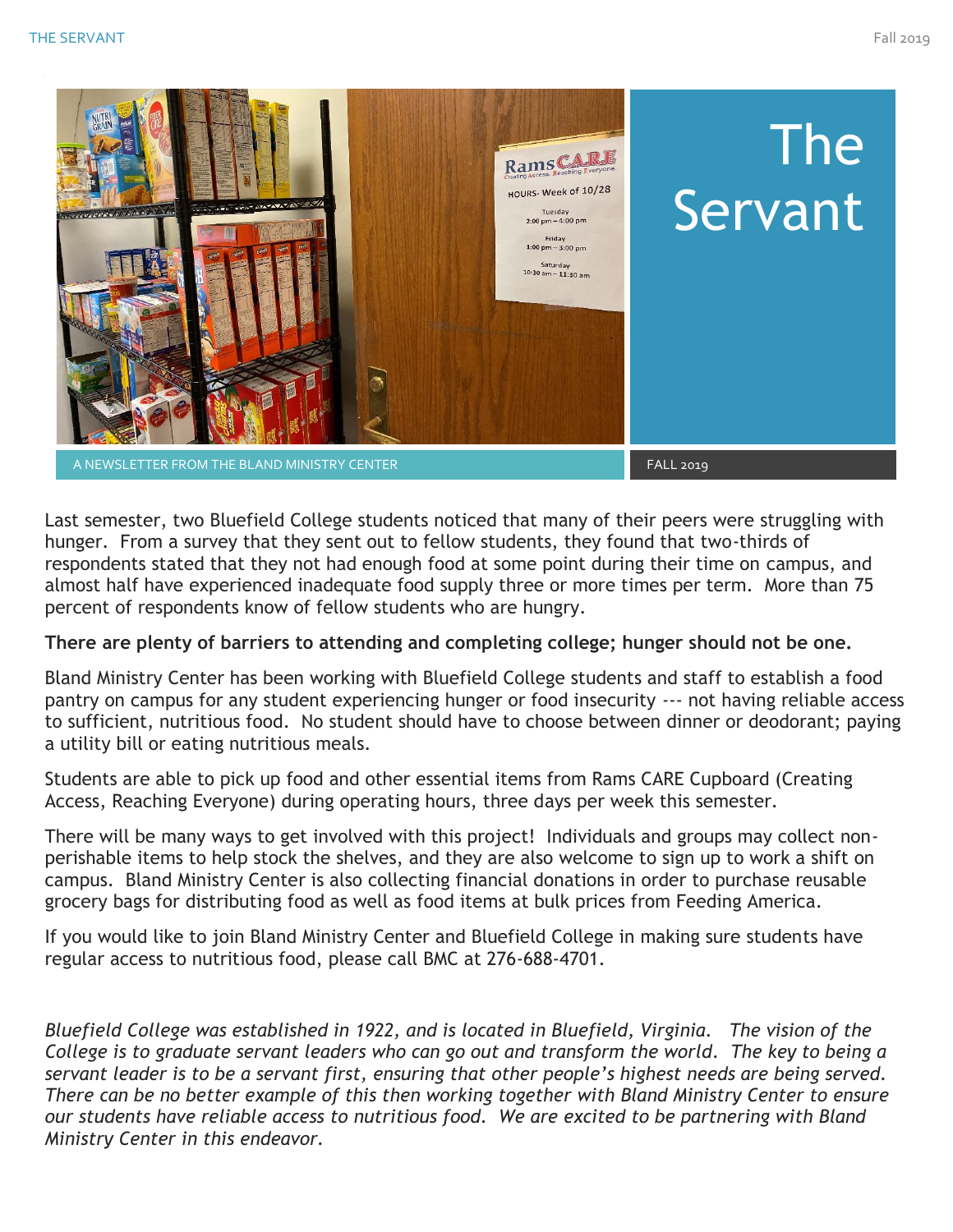

Last semester, two Bluefield College students noticed that many of their peers were struggling with hunger. From a survey that they sent out to fellow students, they found that two-thirds of respondents stated that they not had enough food at some point during their time on campus, and almost half have experienced inadequate food supply three or more times per term. More than 75 percent of respondents know of fellow students who are hungry.

### **There are plenty of barriers to attending and completing college; hunger should not be one.**

Bland Ministry Center has been working with Bluefield College students and staff to establish a food pantry on campus for any student experiencing hunger or food insecurity --- not having reliable access to sufficient, nutritious food. No student should have to choose between dinner or deodorant; paying a utility bill or eating nutritious meals.

Students are able to pick up food and other essential items from Rams CARE Cupboard (Creating Access, Reaching Everyone) during operating hours, three days per week this semester.

There will be many ways to get involved with this project! Individuals and groups may collect nonperishable items to help stock the shelves, and they are also welcome to sign up to work a shift on campus. Bland Ministry Center is also collecting financial donations in order to purchase reusable grocery bags for distributing food as well as food items at bulk prices from Feeding America.

If you would like to join Bland Ministry Center and Bluefield College in making sure students have regular access to nutritious food, please call BMC at 276-688-4701.

*Bluefield College was established in 1922, and is located in Bluefield, Virginia. The vision of the College is to graduate servant leaders who can go out and transform the world. The key to being a servant leader is to be a servant first, ensuring that other people's highest needs are being served. There can be no better example of this then working together with Bland Ministry Center to ensure our students have reliable access to nutritious food. We are excited to be partnering with Bland Ministry Center in this endeavor.*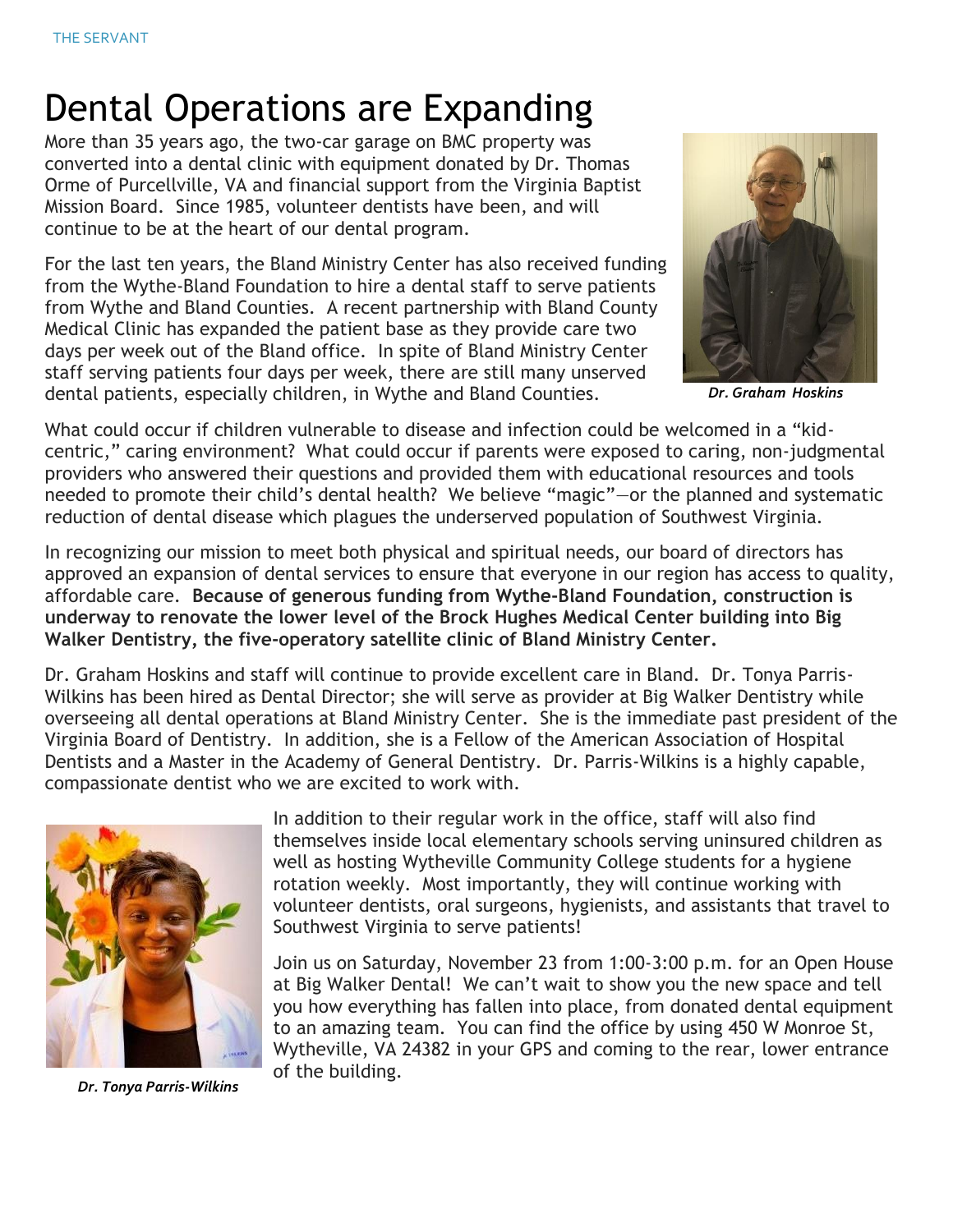# Dental Operations are Expanding

More than 35 years ago, the two-car garage on BMC property was converted into a dental clinic with equipment donated by Dr. Thomas Orme of Purcellville, VA and financial support from the Virginia Baptist Mission Board. Since 1985, volunteer dentists have been, and will continue to be at the heart of our dental program.

For the last ten years, the Bland Ministry Center has also received funding from the Wythe-Bland Foundation to hire a dental staff to serve patients from Wythe and Bland Counties. A recent partnership with Bland County Medical Clinic has expanded the patient base as they provide care two days per week out of the Bland office. In spite of Bland Ministry Center staff serving patients four days per week, there are still many unserved dental patients, especially children, in Wythe and Bland Counties.



 *Dr. Graham Hoskins*

What could occur if children vulnerable to disease and infection could be welcomed in a "kidcentric," caring environment? What could occur if parents were exposed to caring, non-judgmental providers who answered their questions and provided them with educational resources and tools needed to promote their child's dental health? We believe "magic"—or the planned and systematic reduction of dental disease which plagues the underserved population of Southwest Virginia.

In recognizing our mission to meet both physical and spiritual needs, our board of directors has approved an expansion of dental services to ensure that everyone in our region has access to quality, affordable care. **Because of generous funding from Wythe-Bland Foundation, construction is underway to renovate the lower level of the Brock Hughes Medical Center building into Big Walker Dentistry, the five-operatory satellite clinic of Bland Ministry Center.**

Dr. Graham Hoskins and staff will continue to provide excellent care in Bland. Dr. Tonya Parris-Wilkins has been hired as Dental Director; she will serve as provider at Big Walker Dentistry while overseeing all dental operations at Bland Ministry Center. She is the immediate past president of the Virginia Board of Dentistry. In addition, she is a Fellow of the American Association of Hospital Dentists and a Master in the Academy of General Dentistry. Dr. Parris-Wilkins is a highly capable, compassionate dentist who we are excited to work with.



*Dr. Tonya Parris-Wilkins* 

In addition to their regular work in the office, staff will also find themselves inside local elementary schools serving uninsured children as well as hosting Wytheville Community College students for a hygiene rotation weekly. Most importantly, they will continue working with volunteer dentists, oral surgeons, hygienists, and assistants that travel to Southwest Virginia to serve patients!

Join us on Saturday, November 23 from 1:00-3:00 p.m. for an Open House at Big Walker Dental! We can't wait to show you the new space and tell you how everything has fallen into place, from donated dental equipment to an amazing team. You can find the office by using 450 W Monroe St, Wytheville, VA 24382 in your GPS and coming to the rear, lower entrance of the building.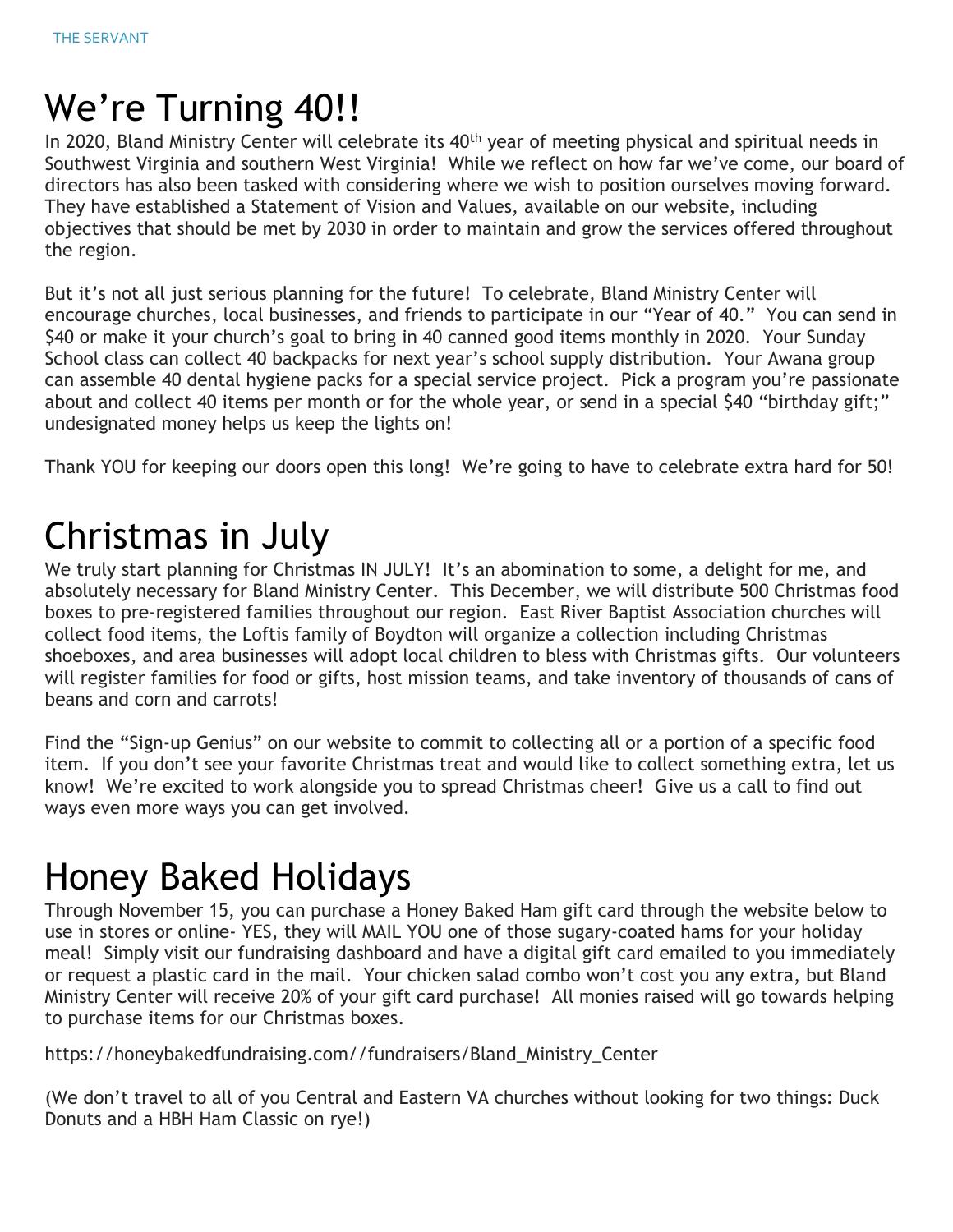# We're Turning 40!!

In 2020, Bland Ministry Center will celebrate its 40<sup>th</sup> year of meeting physical and spiritual needs in Southwest Virginia and southern West Virginia! While we reflect on how far we've come, our board of directors has also been tasked with considering where we wish to position ourselves moving forward. They have established a Statement of Vision and Values, available on our website, including objectives that should be met by 2030 in order to maintain and grow the services offered throughout the region.

But it's not all just serious planning for the future! To celebrate, Bland Ministry Center will encourage churches, local businesses, and friends to participate in our "Year of 40." You can send in \$40 or make it your church's goal to bring in 40 canned good items monthly in 2020. Your Sunday School class can collect 40 backpacks for next year's school supply distribution. Your Awana group can assemble 40 dental hygiene packs for a special service project. Pick a program you're passionate about and collect 40 items per month or for the whole year, or send in a special \$40 "birthday gift;" undesignated money helps us keep the lights on!

Thank YOU for keeping our doors open this long! We're going to have to celebrate extra hard for 50!

## Christmas in July

We truly start planning for Christmas IN JULY! It's an abomination to some, a delight for me, and absolutely necessary for Bland Ministry Center. This December, we will distribute 500 Christmas food boxes to pre-registered families throughout our region. East River Baptist Association churches will collect food items, the Loftis family of Boydton will organize a collection including Christmas shoeboxes, and area businesses will adopt local children to bless with Christmas gifts. Our volunteers will register families for food or gifts, host mission teams, and take inventory of thousands of cans of beans and corn and carrots!

Find the "Sign-up Genius" on our website to commit to collecting all or a portion of a specific food item. If you don't see your favorite Christmas treat and would like to collect something extra, let us know! We're excited to work alongside you to spread Christmas cheer! Give us a call to find out ways even more ways you can get involved.

## Honey Baked Holidays

Through November 15, you can purchase a Honey Baked Ham gift card through the website below to use in stores or online- YES, they will MAIL YOU one of those sugary-coated hams for your holiday meal! Simply visit our fundraising dashboard and have a digital gift card emailed to you immediately or request a plastic card in the mail. Your chicken salad combo won't cost you any extra, but Bland Ministry Center will receive 20% of your gift card purchase! All monies raised will go towards helping to purchase items for our Christmas boxes.

https://honeybakedfundraising.com//fundraisers/Bland\_Ministry\_Center

(We don't travel to all of you Central and Eastern VA churches without looking for two things: Duck Donuts and a HBH Ham Classic on rye!)